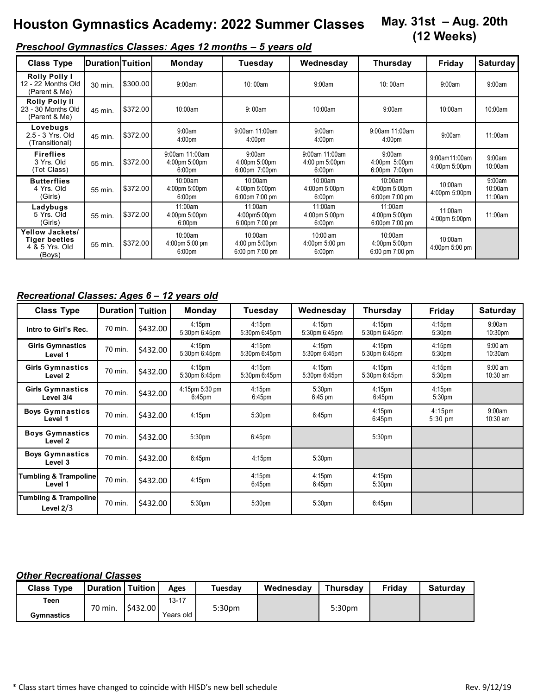#### **May. 31st – Aug. 20th (12 Weeks) Houston Gymnastics Academy: 2022 Summer Classes**

# *Preschool Gymnastics Classes: Ages 12 months – 5 years old*

| <b>Class Type</b>                                                          | <b>IDuration</b> ITuition |          | <b>Monday</b>                                         | Tuesday                                      | Wednesday                                              | Thursday                                                        | Friday                         | <b>Saturday</b>              |
|----------------------------------------------------------------------------|---------------------------|----------|-------------------------------------------------------|----------------------------------------------|--------------------------------------------------------|-----------------------------------------------------------------|--------------------------------|------------------------------|
| <b>Rolly Polly I</b><br>12 - 22 Months Old<br>(Parent & Me)                | 30 min.                   | \$300.00 | 9:00am                                                | 10:00am                                      | 9:00am                                                 | 10:00am                                                         | 9:00am                         | 9:00am                       |
| <b>Rolly Polly II</b><br>23 - 30 Months Old<br>(Parent & Me)               | 45 min.                   | \$372.00 | 10:00am                                               | 9:00am                                       | 10:00am                                                | 9:00am                                                          | 10:00am                        | 10:00am                      |
| Lovebugs<br>2.5 - 3 Yrs. Old<br>(Transitional)                             | 45 min.                   | \$372.00 | 9:00am<br>4:00 <sub>pm</sub>                          | 9:00am 11:00am<br>4:00 <sub>pm</sub>         | 9:00am<br>4:00 <sub>pm</sub>                           | 9:00am 11:00am<br>4:00 <sub>pm</sub>                            | 9:00am                         | 11:00am                      |
| <b>Fireflies</b><br>3 Yrs. Old<br>(Tot Class)                              | 55 min.                   | \$372.00 | 9:00am 11:00am<br>4:00pm 5:00pm<br>6:00 <sub>pm</sub> | 9:00am<br>4:00pm 5:00pm<br>6:00pm 7:00pm     | 9:00am 11:00am<br>4:00 pm 5:00pm<br>6:00 <sub>pm</sub> | 9:00am<br>4:00pm 5:00pm<br>6:00pm 7:00pm                        | 9:00am11:00am<br>4:00pm 5:00pm | 9:00am<br>10:00am            |
| <b>Butterflies</b><br>4 Yrs. Old<br>(Girls)                                | 55 min.                   | \$372.00 | 10:00am<br>4:00pm 5:00pm<br>6:00 <sub>pm</sub>        | 10:00am<br>4:00pm 5:00pm<br>6:00pm 7:00 pm   | 10:00am<br>4:00pm 5:00pm<br>6:00 <sub>pm</sub>         | 10:00am<br>4:00pm 5:00pm<br>6:00pm 7:00 pm                      | 10:00am<br>4:00pm 5:00pm       | 9:00am<br>10:00am<br>11:00am |
| Ladybugs<br>5 Yrs. Old<br>(Girls)                                          | 55 min.                   | \$372.00 | 11:00am<br>4:00pm 5:00pm<br>6:00 <sub>pm</sub>        | 11:00am<br>4:00pm5:00pm<br>6:00pm 7:00 pm    | 11:00am<br>4:00pm 5:00pm<br>6:00 <sub>pm</sub>         | 11:00am<br>4:00pm 5:00pm<br>6:00pm 7:00 pm                      | 11:00am<br>4:00pm 5:00pm       | 11:00am                      |
| <b>Yellow Jackets/</b><br><b>Tiger beetles</b><br>4 & 5 Yrs. Old<br>(Boys) | 55 min.                   | \$372.00 | 10:00am<br>4:00pm 5:00 pm<br>6:00 <sub>pm</sub>       | 10:00am<br>4:00 pm 5:00pm<br>6:00 pm 7:00 pm | 10:00 am<br>4:00pm 5:00 pm<br>6:00 <sub>pm</sub>       | 10:00am<br>4:00pm 5:00pm<br>$6:00 \text{ pm } 7:00 \text{ pm }$ | 10:00am<br>4:00pm 5:00 pm      |                              |

## *Recreational Classes: Ages 6 – 12 years old*

| <b>Class Type</b>                               | <b>Duration   Tuition</b> |          | <b>Monday</b>                       | Tuesdav                                  | Wednesday                                | Thursday                                 | Friday                                   | <b>Saturday</b>               |
|-------------------------------------------------|---------------------------|----------|-------------------------------------|------------------------------------------|------------------------------------------|------------------------------------------|------------------------------------------|-------------------------------|
| Intro to Girl's Rec.                            | 70 min.                   | \$432.00 | 4:15 <sub>pm</sub><br>5:30pm 6:45pm | 4:15 <sub>pm</sub><br>5:30pm 6:45pm      | 4:15 <sub>pm</sub><br>5:30pm 6:45pm      | 4:15 <sub>pm</sub><br>5:30pm 6:45pm      | 4:15 <sub>pm</sub><br>5:30 <sub>pm</sub> | 9:00am<br>10:30 <sub>pm</sub> |
| <b>Girls Gymnastics</b><br>Level 1              | 70 min.                   | \$432.00 | 4:15 <sub>pm</sub><br>5:30pm 6:45pm | 4:15 <sub>pm</sub><br>5:30pm 6:45pm      | $4:15$ pm<br>5:30pm 6:45pm               | 4:15 <sub>pm</sub><br>5:30pm 6:45pm      | 4:15 <sub>pm</sub><br>5:30 <sub>pm</sub> | $9:00$ am<br>$10:30$ am       |
| <b>Girls Gymnastics</b><br>Level 2              | 70 min.                   | \$432.00 | 4:15 <sub>pm</sub><br>5:30pm 6:45pm | 4:15 <sub>pm</sub><br>5:30pm 6:45pm      | 4:15 <sub>pm</sub><br>5:30pm 6:45pm      | 4:15 <sub>pm</sub><br>5:30pm 6:45pm      | 4:15 <sub>pm</sub><br>5:30 <sub>pm</sub> | $9:00$ am<br>10:30 am         |
| <b>Girls Gymnastics</b><br>Level 3/4            | 70 min.                   | \$432.00 | 4:15pm 5:30 pm<br>$6:45$ pm         | 4:15 <sub>pm</sub><br>6:45 <sub>pm</sub> | 5:30 <sub>pm</sub><br>$6:45 \text{ pm}$  | 4:15 <sub>pm</sub><br>$6:45$ pm          | 4:15 <sub>pm</sub><br>5:30 <sub>pm</sub> |                               |
| <b>Boys Gymnastics</b><br>Level 1               | 70 min.                   | \$432.00 | 4:15 <sub>pm</sub>                  | 5:30 <sub>pm</sub>                       | $6:45$ pm                                | 4:15 <sub>pm</sub><br>$6:45$ pm          | $4:15 \text{pm}$<br>$5:30$ pm            | 9:00am<br>$10:30$ am          |
| <b>Boys Gymnastics</b><br>Level <sub>2</sub>    | 70 min.                   | \$432.00 | 5:30 <sub>pm</sub>                  | $6:45$ pm                                |                                          | 5:30 <sub>pm</sub>                       |                                          |                               |
| <b>Boys Gymnastics</b><br>Level 3               | 70 min.                   | \$432.00 | $6:45$ pm                           | 4:15 <sub>pm</sub>                       | 5:30 <sub>pm</sub>                       |                                          |                                          |                               |
| <b>Tumbling &amp; Trampoline</b><br>Level 1     | 70 min.                   | \$432.00 | 4:15 <sub>pm</sub>                  | $4:15$ pm<br>$6:45$ pm                   | 4:15 <sub>pm</sub><br>6:45 <sub>pm</sub> | 4:15 <sub>pm</sub><br>5:30 <sub>pm</sub> |                                          |                               |
| <b>Tumbling &amp; Trampoline</b><br>Level $2/3$ | 70 min.                   | \$432.00 | 5:30pm                              | 5:30pm                                   | 5:30pm                                   | $6:45$ pm                                |                                          |                               |

### *Other Recreational Classes*

| <b>Class Type</b> | <b>Duration</b> | <b>Tuition</b> | Ages      | Tuesday | Wednesdav | <b>Thursdav</b> | <b>Fridav</b> | <b>Saturdav</b> |
|-------------------|-----------------|----------------|-----------|---------|-----------|-----------------|---------------|-----------------|
| Teen              | 70 min.         | \$432.00       | $13 - 17$ | 5:30pm  |           | 5:30pm          |               |                 |
| <b>Gymnastics</b> |                 |                | Years old |         |           |                 |               |                 |